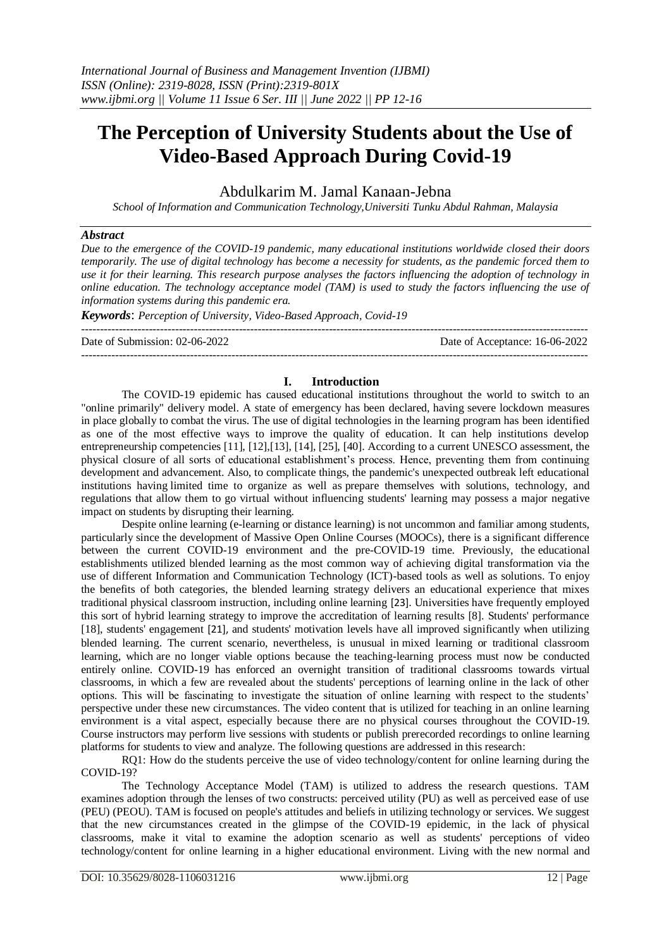# **The Perception of University Students about the Use of Video-Based Approach During Covid-19**

Abdulkarim M. Jamal Kanaan-Jebna

*School of Information and Communication Technology,Universiti Tunku Abdul Rahman, Malaysia*

# *Abstract*

*Due to the emergence of the COVID-19 pandemic, many educational institutions worldwide closed their doors temporarily. The use of digital technology has become a necessity for students, as the pandemic forced them to use it for their learning. This research purpose analyses the factors influencing the adoption of technology in online education. The technology acceptance model (TAM) is used to study the factors influencing the use of information systems during this pandemic era.*

*Keywords*: *Perception of University, Video-Based Approach, Covid-19*

Date of Submission: 02-06-2022 Date of Acceptance: 16-06-2022

---------------------------------------------------------------------------------------------------------------------------------------

## **I. Introduction**

---------------------------------------------------------------------------------------------------------------------------------------

The COVID-19 epidemic has caused educational institutions throughout the world to switch to an "online primarily" delivery model. A state of emergency has been declared, having severe lockdown measures in place globally to combat the virus. The use of digital technologies in the learning program has been identified as one of the most effective ways to improve the quality of education. It can help institutions develop entrepreneurship competencies [11], [12],[13], [14], [25], [40]. According to a current UNESCO assessment, the physical closure of all sorts of educational establishment's process. Hence, preventing them from continuing development and advancement. Also, to complicate things, the pandemic's unexpected outbreak left educational institutions having limited time to organize as well as prepare themselves with solutions, technology, and regulations that allow them to go virtual without influencing students' learning may possess a major negative impact on students by disrupting their learning.

Despite online learning (e-learning or distance learning) is not uncommon and familiar among students, particularly since the development of Massive Open Online Courses (MOOCs), there is a significant difference between the current COVID-19 environment and the pre-COVID-19 time. Previously, the educational establishments utilized blended learning as the most common way of achieving digital transformation via the use of different Information and Communication Technology (ICT)-based tools as well as solutions. To enjoy the benefits of both categories, the blended learning strategy delivers an educational experience that mixes traditional physical classroom instruction, including online learning [23]. Universities have frequently employed this sort of hybrid learning strategy to improve the accreditation of learning results [8]. Students' performance [18], students' engagement [21], and students' motivation levels have all improved significantly when utilizing blended learning. The current scenario, nevertheless, is unusual in mixed learning or traditional classroom learning, which are no longer viable options because the teaching-learning process must now be conducted entirely online. COVID-19 has enforced an overnight transition of traditional classrooms towards virtual classrooms, in which a few are revealed about the students' perceptions of learning online in the lack of other options. This will be fascinating to investigate the situation of online learning with respect to the students' perspective under these new circumstances. The video content that is utilized for teaching in an online learning environment is a vital aspect, especially because there are no physical courses throughout the COVID-19. Course instructors may perform live sessions with students or publish prerecorded recordings to online learning platforms for students to view and analyze. The following questions are addressed in this research:

RQ1: How do the students perceive the use of video technology/content for online learning during the COVID-19?

The Technology Acceptance Model (TAM) is utilized to address the research questions. TAM examines adoption through the lenses of two constructs: perceived utility (PU) as well as perceived ease of use (PEU) (PEOU). TAM is focused on people's attitudes and beliefs in utilizing technology or services. We suggest that the new circumstances created in the glimpse of the COVID-19 epidemic, in the lack of physical classrooms, make it vital to examine the adoption scenario as well as students' perceptions of video technology/content for online learning in a higher educational environment. Living with the new normal and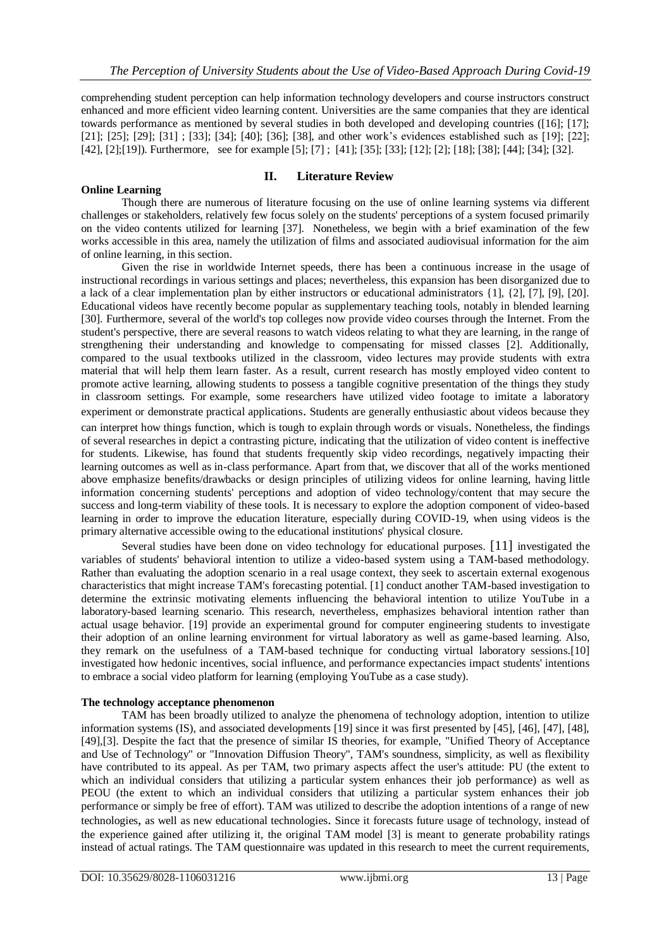comprehending student perception can help information technology developers and course instructors construct enhanced and more efficient video learning content. Universities are the same companies that they are identical towards performance as mentioned by several studies in both developed and developing countries ([16]; [17]; [21]; [25]; [29]; [31] ; [33]; [34]; [40]; [36]; [38], and other work's evidences established such as [19]; [22]; [42], [2];[19]). Furthermore, see for example [5]; [7] ; [41]; [35]; [33]; [12]; [2]; [18]; [38]; [44]; [34]; [32].

# **II. Literature Review**

**Online Learning** Though there are numerous of literature focusing on the use of online learning systems via different challenges or stakeholders, relatively few focus solely on the students' perceptions of a system focused primarily on the video contents utilized for learning [37]. Nonetheless, we begin with a brief examination of the few works accessible in this area, namely the utilization of films and associated audiovisual information for the aim of online learning, in this section.

Given the rise in worldwide Internet speeds, there has been a continuous increase in the usage of instructional recordings in various settings and places; nevertheless, this expansion has been disorganized due to a lack of a clear implementation plan by either instructors or educational administrators {1], {2], [7], [9], [20]. Educational videos have recently become popular as supplementary teaching tools, notably in blended learning [30]. Furthermore, several of the world's top colleges now provide video courses through the Internet. From the student's perspective, there are several reasons to watch videos relating to what they are learning, in the range of strengthening their understanding and knowledge to compensating for missed classes [2]. Additionally, compared to the usual textbooks utilized in the classroom, video lectures may provide students with extra material that will help them learn faster. As a result, current research has mostly employed video content to promote active learning, allowing students to possess a tangible cognitive presentation of the things they study in classroom settings. For example, some researchers have utilized video footage to imitate a laboratory experiment or demonstrate practical applications. Students are generally enthusiastic about videos because they can interpret how things function, which is tough to explain through words or visuals. Nonetheless, the findings of several researches in depict a contrasting picture, indicating that the utilization of video content is ineffective for students. Likewise, has found that students frequently skip video recordings, negatively impacting their learning outcomes as well as in-class performance. Apart from that, we discover that all of the works mentioned above emphasize benefits/drawbacks or design principles of utilizing videos for online learning, having little information concerning students' perceptions and adoption of video technology/content that may secure the success and long-term viability of these tools. It is necessary to explore the adoption component of video-based learning in order to improve the education literature, especially during COVID-19, when using videos is the primary alternative accessible owing to the educational institutions' physical closure.

Several studies have been done on video technology for educational purposes. [11] investigated the variables of students' behavioral intention to utilize a video-based system using a TAM-based methodology. Rather than evaluating the adoption scenario in a real usage context, they seek to ascertain external exogenous characteristics that might increase TAM's forecasting potential. [1] conduct another TAM-based investigation to determine the extrinsic motivating elements influencing the behavioral intention to utilize YouTube in a laboratory-based learning scenario. This research, nevertheless, emphasizes behavioral intention rather than actual usage behavior. [19] provide an experimental ground for computer engineering students to investigate their adoption of an online learning environment for virtual laboratory as well as game-based learning. Also, they remark on the usefulness of a TAM-based technique for conducting virtual laboratory sessions.[10] investigated how hedonic incentives, social influence, and performance expectancies impact students' intentions to embrace a social video platform for learning (employing YouTube as a case study).

# **The technology acceptance phenomenon**

TAM has been broadly utilized to analyze the phenomena of technology adoption, intention to utilize information systems (IS), and associated developments [19] since it was first presented by [45], [46], [47], [48], [49],[3]. Despite the fact that the presence of similar IS theories, for example, "Unified Theory of Acceptance and Use of Technology" or "Innovation Diffusion Theory", TAM's soundness, simplicity, as well as flexibility have contributed to its appeal. As per TAM, two primary aspects affect the user's attitude: PU (the extent to which an individual considers that utilizing a particular system enhances their job performance) as well as PEOU (the extent to which an individual considers that utilizing a particular system enhances their job performance or simply be free of effort). TAM was utilized to describe the adoption intentions of a range of new technologies, as well as new educational technologies. Since it forecasts future usage of technology, instead of the experience gained after utilizing it, the original TAM model [3] is meant to generate probability ratings instead of actual ratings. The TAM questionnaire was updated in this research to meet the current requirements,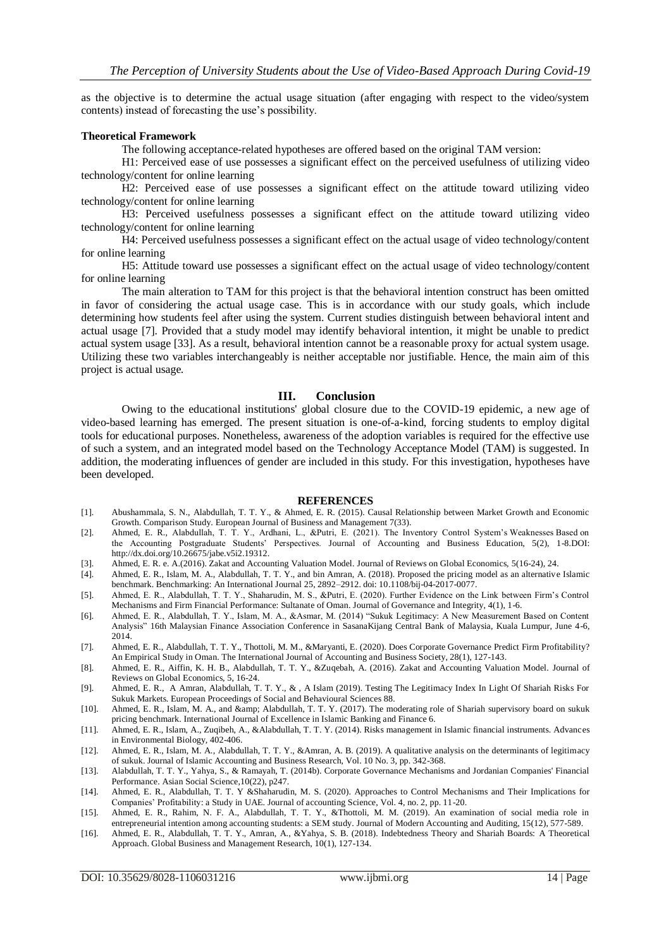as the objective is to determine the actual usage situation (after engaging with respect to the video/system contents) instead of forecasting the use's possibility.

#### **Theoretical Framework**

The following acceptance-related hypotheses are offered based on the original TAM version:

H1: Perceived ease of use possesses a significant effect on the perceived usefulness of utilizing video technology/content for online learning

H2: Perceived ease of use possesses a significant effect on the attitude toward utilizing video technology/content for online learning

H3: Perceived usefulness possesses a significant effect on the attitude toward utilizing video technology/content for online learning

H4: Perceived usefulness possesses a significant effect on the actual usage of video technology/content for online learning

H5: Attitude toward use possesses a significant effect on the actual usage of video technology/content for online learning

The main alteration to TAM for this project is that the behavioral intention construct has been omitted in favor of considering the actual usage case. This is in accordance with our study goals, which include determining how students feel after using the system. Current studies distinguish between behavioral intent and actual usage [7]. Provided that a study model may identify behavioral intention, it might be unable to predict actual system usage [33]. As a result, behavioral intention cannot be a reasonable proxy for actual system usage. Utilizing these two variables interchangeably is neither acceptable nor justifiable. Hence, the main aim of this project is actual usage.

## **III. Conclusion**

Owing to the educational institutions' global closure due to the COVID-19 epidemic, a new age of video-based learning has emerged. The present situation is one-of-a-kind, forcing students to employ digital tools for educational purposes. Nonetheless, awareness of the adoption variables is required for the effective use of such a system, and an integrated model based on the Technology Acceptance Model (TAM) is suggested. In addition, the moderating influences of gender are included in this study. For this investigation, hypotheses have been developed.

#### **REFERENCES**

- [1]. Abushammala, S. N., Alabdullah, T. T. Y., & Ahmed, E. R. (2015). Causal Relationship between Market Growth and Economic Growth. Comparison Study. European Journal of Business and Management 7(33).
- [2]. Ahmed, E. R., Alabdullah, T. T. Y., Ardhani, L., &Putri, E. (2021). The Inventory Control System's Weaknesses Based on the Accounting Postgraduate Students' Perspectives. Journal of Accounting and Business Education, 5(2), 1-8.DOI: http://dx.doi.org/10.26675/jabe.v5i2.19312.
- [3]. Ahmed, E. R. e. A.(2016). Zakat and Accounting Valuation Model. Journal of Reviews on Global Economics, 5(16-24), 24.
- [4]. Ahmed, E. R., Islam, M. A., Alabdullah, T. T. Y., and bin Amran, A. (2018). Proposed the pricing model as an alternative Islamic benchmark. Benchmarking: An International Journal 25, 2892–2912. doi: 10.1108/bij-04-2017-0077.
- [5]. Ahmed, E. R., Alabdullah, T. T. Y., Shaharudin, M. S., &Putri, E. (2020). Further Evidence on the Link between Firm's Control Mechanisms and Firm Financial Performance: Sultanate of Oman. Journal of Governance and Integrity, 4(1), 1-6.
- [6]. Ahmed, E. R., Alabdullah, T. Y., Islam, M. A., &Asmar, M. (2014) "Sukuk Legitimacy: A New Measurement Based on Content Analysis" 16th Malaysian Finance Association Conference in SasanaKijang Central Bank of Malaysia, Kuala Lumpur, June 4-6, 2014.
- [7]. Ahmed, E. R., Alabdullah, T. T. Y., Thottoli, M. M., &Maryanti, E. (2020). Does Corporate Governance Predict Firm Profitability? An Empirical Study in Oman. The International Journal of Accounting and Business Society, 28(1), 127-143.
- [8]. Ahmed, E. R., Aiffin, K. H. B., Alabdullah, T. T. Y., &Zuqebah, A. (2016). Zakat and Accounting Valuation Model. Journal of Reviews on Global Economics, 5, 16-24.
- [9]. Ahmed, E. R., A Amran, Alabdullah, T. T. Y., & , A Islam (2019). Testing The Legitimacy Index In Light Of Shariah Risks For Sukuk Markets. European Proceedings of Social and Behavioural Sciences 88.
- [10]. Ahmed, E. R., Islam, M. A., and & amp; Alabdullah, T. T. Y. (2017). The moderating role of Shariah supervisory board on sukuk pricing benchmark. International Journal of Excellence in Islamic Banking and Finance 6.
- [11]. Ahmed, E. R., Islam, A., Zuqibeh, A., &Alabdullah, T. T. Y. (2014). Risks management in Islamic financial instruments. Advances in Environmental Biology, 402-406.
- [12]. Ahmed, E. R., Islam, M. A., Alabdullah, T. T. Y., &Amran, A. B. (2019). A qualitative analysis on the determinants of legitimacy of sukuk. Journal of Islamic Accounting and Business Research, Vol. 10 No. 3, pp. 342-368.
- [13]. Alabdullah, T. T. Y., Yahya, S., & Ramayah, T. (2014b). Corporate Governance Mechanisms and Jordanian Companies' Financial Performance. Asian Social Science,10(22), p247.
- [14]. Ahmed, E. R., Alabdullah, T. T. Y &Shaharudin, M. S. (2020). Approaches to Control Mechanisms and Their Implications for Companies' Profitability: a Study in UAE. Journal of accounting Science, Vol. 4, no. 2, pp. 11-20.
- [15]. Ahmed, E. R., Rahim, N. F. A., Alabdullah, T. T. Y., &Thottoli, M. M. (2019). An examination of social media role in entrepreneurial intention among accounting students: a SEM study. Journal of Modern Accounting and Auditing, 15(12), 577-589.
- [16]. Ahmed, E. R., Alabdullah, T. T. Y., Amran, A., &Yahya, S. B. (2018). Indebtedness Theory and Shariah Boards: A Theoretical Approach. Global Business and Management Research, 10(1), 127-134.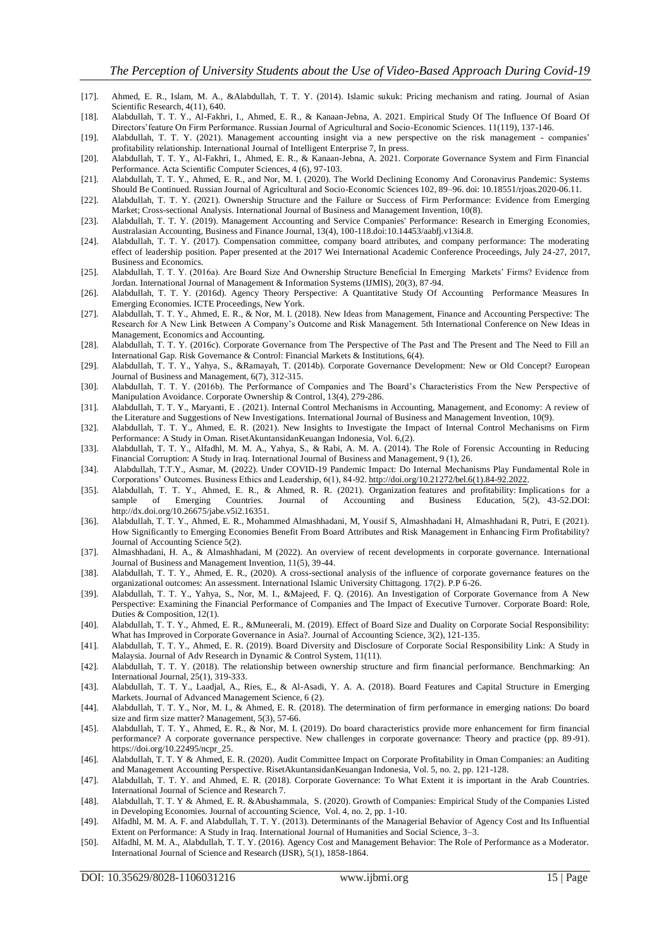- [17]. Ahmed, E. R., Islam, M. A., &Alabdullah, T. T. Y. (2014). Islamic sukuk: Pricing mechanism and rating. Journal of Asian Scientific Research, 4(11), 640.
- [18]. Alabdullah, T. T. Y., Al-Fakhri, I., Ahmed, E. R., & Kanaan-Jebna, A. 2021. Empirical Study Of The Influence Of Board Of Directors'feature On Firm Performance. Russian Journal of Agricultural and Socio-Economic Sciences. 11(119), 137-146.
- [19]. Alabdullah, T. T. Y. (2021). Management accounting insight via a new perspective on the risk management companies' profitability relationship. International Journal of Intelligent Enterprise 7, In press.
- [20]. Alabdullah, T. T. Y., Al-Fakhri, I., Ahmed, E. R., & Kanaan-Jebna, A. 2021. Corporate Governance System and Firm Financial Performance. Acta Scientific Computer Sciences, 4 (6), 97-103.
- [21]. Alabdullah, T. T. Y., Ahmed, E. R., and Nor, M. I. (2020). The World Declining Economy And Coronavirus Pandemic: Systems Should Be Continued. Russian Journal of Agricultural and Socio-Economic Sciences 102, 89–96. doi: 10.18551/rjoas.2020-06.11.
- [22]. Alabdullah, T. T. Y. (2021). Ownership Structure and the Failure or Success of Firm Performance: Evidence from Emerging Market; Cross-sectional Analysis. International Journal of Business and Management Invention, 10(8).
- [23]. Alabdullah, T. T. Y. (2019). Management Accounting and Service Companies' Performance: Research in Emerging Economies, Australasian Accounting, Business and Finance Journal, 13(4), 100-118.doi:10.14453/aabfj.v13i4.8.
- [24]. Alabdullah, T. T. Y. (2017). Compensation committee, company board attributes, and company performance: The moderating effect of leadership position. Paper presented at the 2017 Wei International Academic Conference Proceedings, July 24-27, 2017, Business and Economics.
- [25]. Alabdullah, T. T. Y. (2016a). Are Board Size And Ownership Structure Beneficial In Emerging Markets' Firms? Evidence from Jordan. International Journal of Management & Information Systems (IJMIS), 20(3), 87-94.
- [26]. Alabdullah, T. T. Y. (2016d). Agency Theory Perspective: A Quantitative Study Of Accounting Performance Measures In Emerging Economies. ICTE Proceedings, New York.
- [27]. Alabdullah, T. T. Y., Ahmed, E. R., & Nor, M. I. (2018). New Ideas from Management, Finance and Accounting Perspective: The Research for A New Link Between A Company's Outcome and Risk Management. 5th International Conference on New Ideas in Management, Economics and Accounting.
- [28]. Alabdullah, T. T. Y. (2016c). Corporate Governance from The Perspective of The Past and The Present and The Need to Fill an International Gap. Risk Governance & Control: Financial Markets & Institutions, 6(4).
- [29]. Alabdullah, T. T. Y., Yahya, S., &Ramayah, T. (2014b). Corporate Governance Development: New or Old Concept? European Journal of Business and Management, 6(7), 312-315.
- [30]. Alabdullah, T. T. Y. (2016b). The Performance of Companies and The Board's Characteristics From the New Perspective of Manipulation Avoidance. Corporate Ownership & Control, 13(4), 279-286.
- [31]. Alabdullah, T. T. Y., Maryanti, E . (2021). Internal Control Mechanisms in Accounting, Management, and Economy: A review of the Literature and Suggestions of New Investigations. International Journal of Business and Management Invention, 10(9).
- [32]. Alabdullah, T. T. Y., Ahmed, E. R. (2021). New Insights to Investigate the Impact of Internal Control Mechanisms on Firm Performance: A Study in Oman. RisetAkuntansidanKeuangan Indonesia, Vol. 6,(2).
- [33]. Alabdullah, T. T. Y., Alfadhl, M. M. A., Yahya, S., & Rabi, A. M. A. (2014). The Role of Forensic Accounting in Reducing Financial Corruption: A Study in Iraq. International Journal of Business and Management, 9 (1), 26.
- [34]. Alabdullah, T.T.Y., Asmar, M. (2022). Under COVID-19 Pandemic Impact: Do Internal Mechanisms Play Fundamental Role in Corporations' Outcomes. Business Ethics and Leadership, 6(1), 84-92[. http://doi.org/10.21272/bel.6\(1\).84-92.2022.](http://doi.org/10.21272/bel.6(1).84-92.2022)
- [35]. Alabdullah, T. T. Y., Ahmed, E. R., & Ahmed, R. R. (2021). Organization features and profitability: Implications for a sample of Emerging Countries. Journal of Accounting and Business Education, 5(2), 43-52.DOI: http://dx.doi.org/10.26675/jabe.v5i2.16351.
- [36]. Alabdullah, T. T. Y., Ahmed, E. R., Mohammed Almashhadani, M, Yousif S, Almashhadani H, Almashhadani R, Putri, E (2021). How Significantly to Emerging Economies Benefit From Board Attributes and Risk Management in Enhancing Firm Profitability? Journal of Accounting Science 5(2).
- [37]. Almashhadani, H. A., & Almashhadani, M (2022). An overview of recent developments in corporate governance. International Journal of Business and Management Invention, 11(5), 39-44.
- [38]. Alabdullah, T. T. Y., Ahmed, E. R., (2020). A cross-sectional analysis of the influence of corporate governance features on the organizational outcomes: An assessment. International Islamic University Chittagong. 17(2). P.P 6-26.
- [39]. Alabdullah, T. T. Y., Yahya, S., Nor, M. I., &Majeed, F. Q. (2016). An Investigation of Corporate Governance from A New Perspective: Examining the Financial Performance of Companies and The Impact of Executive Turnover. Corporate Board: Role, Duties & Composition, 12(1).
- [40]. Alabdullah, T. T. Y., Ahmed, E. R., &Muneerali, M. (2019). Effect of Board Size and Duality on Corporate Social Responsibility: What has Improved in Corporate Governance in Asia?. Journal of Accounting Science, 3(2), 121-135.
- [41]. Alabdullah, T. T. Y., Ahmed, E. R. (2019). Board Diversity and Disclosure of Corporate Social Responsibility Link: A Study in Malaysia. Journal of Adv Research in Dynamic & Control System, 11(11).
- [42]. Alabdullah, T. T. Y. (2018). The relationship between ownership structure and firm financial performance. Benchmarking: An International Journal, 25(1), 319-333.
- [43]. Alabdullah, T. T. Y., Laadjal, A., Ries, E., & Al-Asadi, Y. A. A. (2018). Board Features and Capital Structure in Emerging Markets. Journal of Advanced Management Science, 6 (2).
- [44]. Alabdullah, T. T. Y., Nor, M. I., & Ahmed, E. R. (2018). The determination of firm performance in emerging nations: Do board size and firm size matter? Management, 5(3), 57-66.
- [45]. Alabdullah, T. T. Y., Ahmed, E. R., & Nor, M. I. (2019). Do board characteristics provide more enhancement for firm financial performance? A corporate governance perspective. New challenges in corporate governance: Theory and practice (pp. 89 -91). https://doi.org/10.22495/ncpr\_25.
- [46]. Alabdullah, T. T. Y & Ahmed, E. R. (2020). Audit Committee Impact on Corporate Profitability in Oman Companies: an Auditing and Management Accounting Perspective. RisetAkuntansidanKeuangan Indonesia, Vol. 5, no. 2, pp. 121-128.
- [47]. Alabdullah, T. T. Y. and Ahmed, E. R. (2018). Corporate Governance: To What Extent it is important in the Arab Countries. International Journal of Science and Research 7.
- [48]. Alabdullah, T. T. Y & Ahmed, E. R. &Abushammala, S. (2020). Growth of Companies: Empirical Study of the Companies Listed in Developing Economies. Journal of accounting Science, Vol. 4, no. 2, pp. 1-10.
- [49]. Alfadhl, M. M. A. F. and Alabdullah, T. T. Y. (2013). Determinants of the Managerial Behavior of Agency Cost and Its Influential Extent on Performance: A Study in Iraq. International Journal of Humanities and Social Science, 3–3.
- [50]. Alfadhl, M. M. A., Alabdullah, T. T. Y. (2016). Agency Cost and Management Behavior: The Role of Performance as a Moderator. International Journal of Science and Research (IJSR), 5(1), 1858-1864.